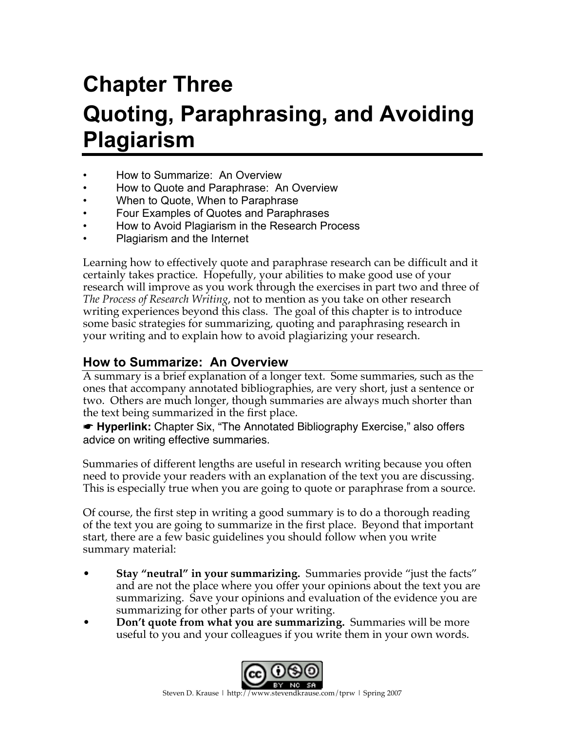# **Chapter Three Quoting, Paraphrasing, and Avoiding Plagiarism**

- How to Summarize: An Overview
- How to Quote and Paraphrase: An Overview
- When to Quote, When to Paraphrase
- Four Examples of Quotes and Paraphrases
- How to Avoid Plagiarism in the Research Process
- Plagiarism and the Internet

Learning how to effectively quote and paraphrase research can be difficult and it certainly takes practice. Hopefully, your abilities to make good use of your research will improve as you work through the exercises in part two and three of *The Process of Research Writing*, not to mention as you take on other research writing experiences beyond this class. The goal of this chapter is to introduce some basic strategies for summarizing, quoting and paraphrasing research in your writing and to explain how to avoid plagiarizing your research.

## **How to Summarize: An Overview**

A summary is a brief explanation of a longer text. Some summaries, such as the ones that accompany annotated bibliographies, are very short, just a sentence or two. Others are much longer, though summaries are always much shorter than the text being summarized in the first place.

☛ **Hyperlink:** Chapter Six, "The Annotated Bibliography Exercise," also offers advice on writing effective summaries.

Summaries of different lengths are useful in research writing because you often need to provide your readers with an explanation of the text you are discussing. This is especially true when you are going to quote or paraphrase from a source.

Of course, the first step in writing a good summary is to do a thorough reading of the text you are going to summarize in the first place. Beyond that important start, there are a few basic guidelines you should follow when you write summary material:

- **Stay "neutral" in your summarizing.** Summaries provide "just the facts" and are not the place where you offer your opinions about the text you are summarizing. Save your opinions and evaluation of the evidence you are summarizing for other parts of your writing.
- **Don't quote from what you are summarizing.** Summaries will be more useful to you and your colleagues if you write them in your own words.

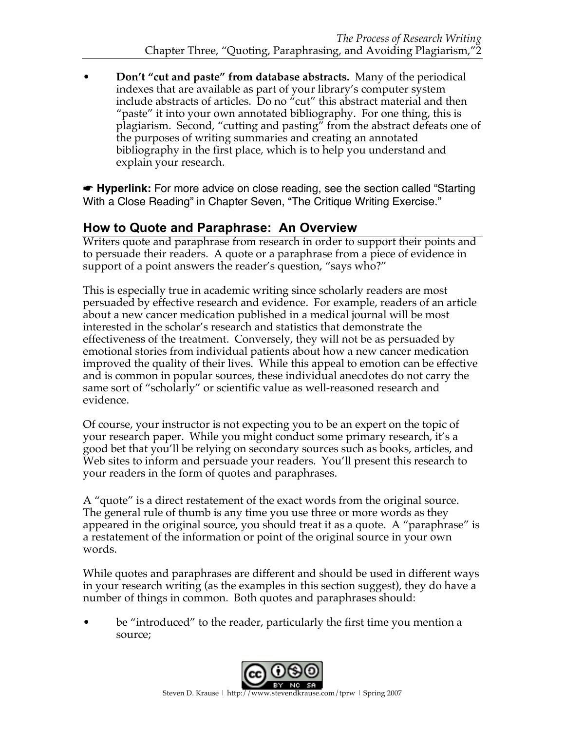• **Don't "cut and paste" from database abstracts.** Many of the periodical indexes that are available as part of your library's computer system include abstracts of articles. Do no "cut" this abstract material and then "paste" it into your own annotated bibliography. For one thing, this is plagiarism. Second, "cutting and pasting" from the abstract defeats one of the purposes of writing summaries and creating an annotated bibliography in the first place, which is to help you understand and explain your research.

☛ **Hyperlink:** For more advice on close reading, see the section called "Starting With a Close Reading" in Chapter Seven, "The Critique Writing Exercise."

## **How to Quote and Paraphrase: An Overview**

Writers quote and paraphrase from research in order to support their points and to persuade their readers. A quote or a paraphrase from a piece of evidence in support of a point answers the reader's question, "says who?"

This is especially true in academic writing since scholarly readers are most persuaded by effective research and evidence. For example, readers of an article about a new cancer medication published in a medical journal will be most interested in the scholar's research and statistics that demonstrate the effectiveness of the treatment. Conversely, they will not be as persuaded by emotional stories from individual patients about how a new cancer medication improved the quality of their lives. While this appeal to emotion can be effective and is common in popular sources, these individual anecdotes do not carry the same sort of "scholarly" or scientific value as well-reasoned research and evidence.

Of course, your instructor is not expecting you to be an expert on the topic of your research paper. While you might conduct some primary research, it's a good bet that you'll be relying on secondary sources such as books, articles, and Web sites to inform and persuade your readers. You'll present this research to your readers in the form of quotes and paraphrases.

A "quote" is a direct restatement of the exact words from the original source. The general rule of thumb is any time you use three or more words as they appeared in the original source, you should treat it as a quote. A "paraphrase" is a restatement of the information or point of the original source in your own words.

While quotes and paraphrases are different and should be used in different ways in your research writing (as the examples in this section suggest), they do have a number of things in common. Both quotes and paraphrases should:

be "introduced" to the reader, particularly the first time you mention a source;

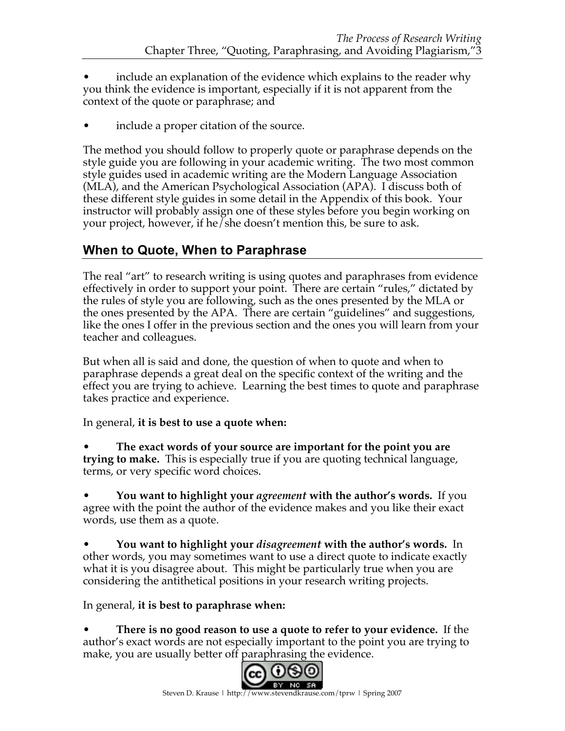- include an explanation of the evidence which explains to the reader why you think the evidence is important, especially if it is not apparent from the context of the quote or paraphrase; and
- include a proper citation of the source.

The method you should follow to properly quote or paraphrase depends on the style guide you are following in your academic writing. The two most common style guides used in academic writing are the Modern Language Association (MLA), and the American Psychological Association (APA). I discuss both of these different style guides in some detail in the Appendix of this book. Your instructor will probably assign one of these styles before you begin working on your project, however, if he/she doesn't mention this, be sure to ask.

# **When to Quote, When to Paraphrase**

The real "art" to research writing is using quotes and paraphrases from evidence effectively in order to support your point. There are certain "rules," dictated by the rules of style you are following, such as the ones presented by the MLA or the ones presented by the APA. There are certain "guidelines" and suggestions, like the ones I offer in the previous section and the ones you will learn from your teacher and colleagues.

But when all is said and done, the question of when to quote and when to paraphrase depends a great deal on the specific context of the writing and the effect you are trying to achieve. Learning the best times to quote and paraphrase takes practice and experience.

In general, **it is best to use a quote when:**

• **The exact words of your source are important for the point you are trying to make.** This is especially true if you are quoting technical language, terms, or very specific word choices.

• **You want to highlight your** *agreement* **with the author's words.** If you agree with the point the author of the evidence makes and you like their exact words, use them as a quote.

• **You want to highlight your** *disagreement* **with the author's words.** In other words, you may sometimes want to use a direct quote to indicate exactly what it is you disagree about. This might be particularly true when you are considering the antithetical positions in your research writing projects.

In general, **it is best to paraphrase when:**

• **There is no good reason to use a quote to refer to your evidence.** If the author's exact words are not especially important to the point you are trying to make, you are usually better off paraphrasing the evidence.

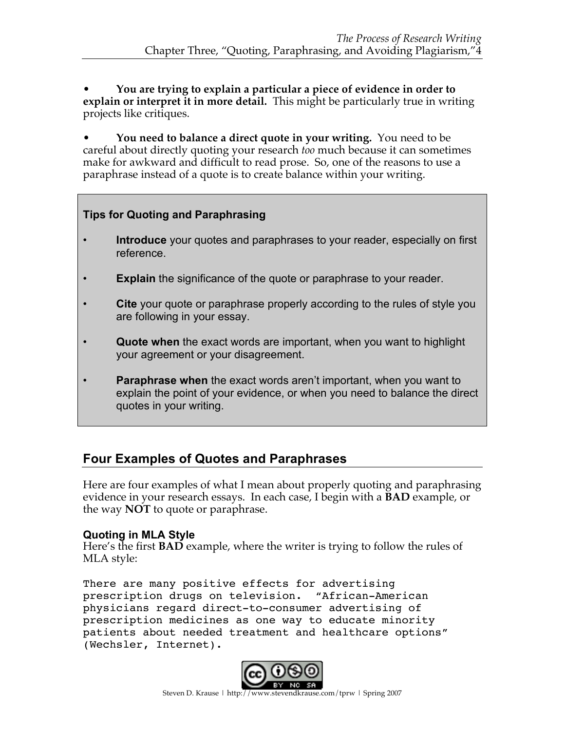• **You are trying to explain a particular a piece of evidence in order to explain or interpret it in more detail.** This might be particularly true in writing projects like critiques.

• **You need to balance a direct quote in your writing.** You need to be careful about directly quoting your research *too* much because it can sometimes make for awkward and difficult to read prose. So, one of the reasons to use a paraphrase instead of a quote is to create balance within your writing.

#### **Tips for Quoting and Paraphrasing**

- **Introduce** your quotes and paraphrases to your reader, especially on first reference.
- **Explain** the significance of the quote or paraphrase to your reader.
- **Cite** your quote or paraphrase properly according to the rules of style you are following in your essay.
- **Quote when** the exact words are important, when you want to highlight your agreement or your disagreement.
- **Paraphrase when** the exact words aren't important, when you want to explain the point of your evidence, or when you need to balance the direct quotes in your writing.

## **Four Examples of Quotes and Paraphrases**

Here are four examples of what I mean about properly quoting and paraphrasing evidence in your research essays. In each case, I begin with a **BAD** example, or the way **NOT** to quote or paraphrase.

#### **Quoting in MLA Style**

Here's the first **BAD** example, where the writer is trying to follow the rules of MLA style:

There are many positive effects for advertising prescription drugs on television. "African-American physicians regard direct-to-consumer advertising of prescription medicines as one way to educate minority patients about needed treatment and healthcare options" (Wechsler, Internet).

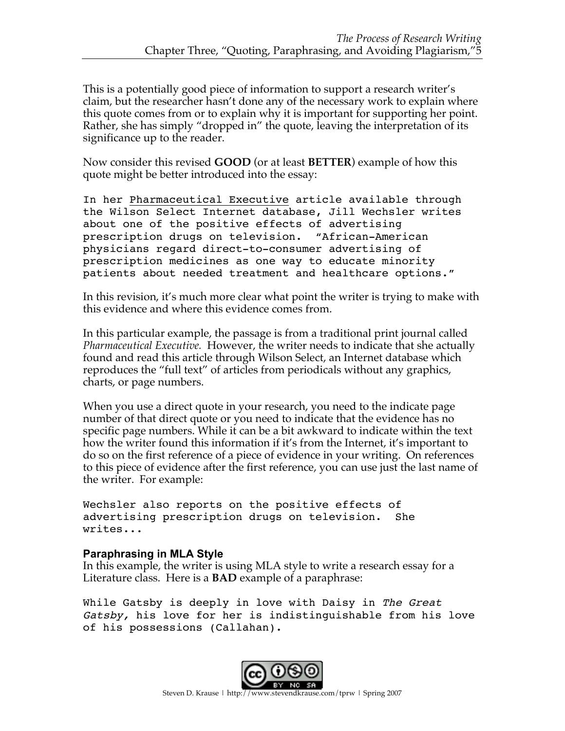This is a potentially good piece of information to support a research writer's claim, but the researcher hasn't done any of the necessary work to explain where this quote comes from or to explain why it is important for supporting her point. Rather, she has simply "dropped in" the quote, leaving the interpretation of its significance up to the reader.

Now consider this revised **GOOD** (or at least **BETTER**) example of how this quote might be better introduced into the essay:

In her Pharmaceutical Executive article available through the Wilson Select Internet database, Jill Wechsler writes about one of the positive effects of advertising prescription drugs on television. "African-American physicians regard direct-to-consumer advertising of prescription medicines as one way to educate minority patients about needed treatment and healthcare options."

In this revision, it's much more clear what point the writer is trying to make with this evidence and where this evidence comes from.

In this particular example, the passage is from a traditional print journal called *Pharmaceutical Executive.* However, the writer needs to indicate that she actually found and read this article through Wilson Select, an Internet database which reproduces the "full text" of articles from periodicals without any graphics, charts, or page numbers.

When you use a direct quote in your research, you need to the indicate page number of that direct quote or you need to indicate that the evidence has no specific page numbers. While it can be a bit awkward to indicate within the text how the writer found this information if it's from the Internet, it's important to do so on the first reference of a piece of evidence in your writing. On references to this piece of evidence after the first reference, you can use just the last name of the writer. For example:

Wechsler also reports on the positive effects of advertising prescription drugs on television. She writes...

#### **Paraphrasing in MLA Style**

In this example, the writer is using MLA style to write a research essay for a Literature class. Here is a **BAD** example of a paraphrase:

While Gatsby is deeply in love with Daisy in *The Great* Gatsby, his love for her is indistinguishable from his love of his possessions (Callahan).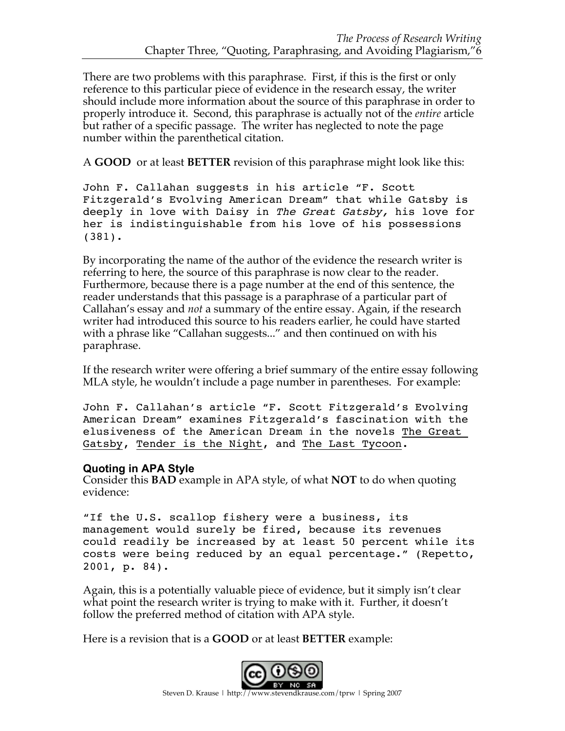There are two problems with this paraphrase. First, if this is the first or only reference to this particular piece of evidence in the research essay, the writer should include more information about the source of this paraphrase in order to properly introduce it. Second, this paraphrase is actually not of the *entire* article but rather of a specific passage. The writer has neglected to note the page number within the parenthetical citation.

A **GOOD** or at least **BETTER** revision of this paraphrase might look like this:

John F. Callahan suggests in his article "F. Scott Fitzgerald's Evolving American Dream" that while Gatsby is deeply in love with Daisy in The Great Gatsby, his love for her is indistinguishable from his love of his possessions (381).

By incorporating the name of the author of the evidence the research writer is referring to here, the source of this paraphrase is now clear to the reader. Furthermore, because there is a page number at the end of this sentence, the reader understands that this passage is a paraphrase of a particular part of Callahan's essay and *not* a summary of the entire essay. Again, if the research writer had introduced this source to his readers earlier, he could have started with a phrase like "Callahan suggests..." and then continued on with his paraphrase.

If the research writer were offering a brief summary of the entire essay following MLA style, he wouldn't include a page number in parentheses. For example:

John F. Callahan's article "F. Scott Fitzgerald's Evolving American Dream" examines Fitzgerald's fascination with the elusiveness of the American Dream in the novels The Great Gatsby, Tender is the Night, and The Last Tycoon.

#### **Quoting in APA Style**

Consider this **BAD** example in APA style, of what **NOT** to do when quoting evidence:

"If the U.S. scallop fishery were a business, its management would surely be fired, because its revenues could readily be increased by at least 50 percent while its costs were being reduced by an equal percentage." (Repetto, 2001, p. 84).

Again, this is a potentially valuable piece of evidence, but it simply isn't clear what point the research writer is trying to make with it. Further, it doesn't follow the preferred method of citation with APA style.

Here is a revision that is a **GOOD** or at least **BETTER** example:

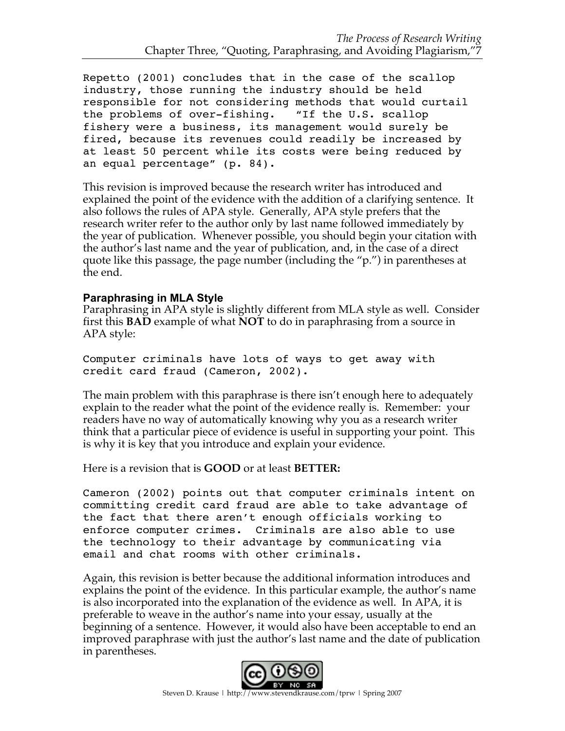Repetto (2001) concludes that in the case of the scallop industry, those running the industry should be held responsible for not considering methods that would curtail the problems of over-fishing. "If the U.S. scallop fishery were a business, its management would surely be fired, because its revenues could readily be increased by at least 50 percent while its costs were being reduced by an equal percentage" (p. 84).

This revision is improved because the research writer has introduced and explained the point of the evidence with the addition of a clarifying sentence. It also follows the rules of APA style. Generally, APA style prefers that the research writer refer to the author only by last name followed immediately by the year of publication. Whenever possible, you should begin your citation with the author's last name and the year of publication, and, in the case of a direct quote like this passage, the page number (including the "p.") in parentheses at the end.

#### **Paraphrasing in MLA Style**

Paraphrasing in APA style is slightly different from MLA style as well. Consider first this **BAD** example of what **NOT** to do in paraphrasing from a source in APA style:

Computer criminals have lots of ways to get away with credit card fraud (Cameron, 2002).

The main problem with this paraphrase is there isn't enough here to adequately explain to the reader what the point of the evidence really is. Remember: your readers have no way of automatically knowing why you as a research writer think that a particular piece of evidence is useful in supporting your point. This is why it is key that you introduce and explain your evidence.

Here is a revision that is **GOOD** or at least **BETTER:**

Cameron (2002) points out that computer criminals intent on committing credit card fraud are able to take advantage of the fact that there aren't enough officials working to enforce computer crimes. Criminals are also able to use the technology to their advantage by communicating via email and chat rooms with other criminals.

Again, this revision is better because the additional information introduces and explains the point of the evidence. In this particular example, the author's name is also incorporated into the explanation of the evidence as well. In APA, it is preferable to weave in the author's name into your essay, usually at the beginning of a sentence. However, it would also have been acceptable to end an improved paraphrase with just the author's last name and the date of publication in parentheses.

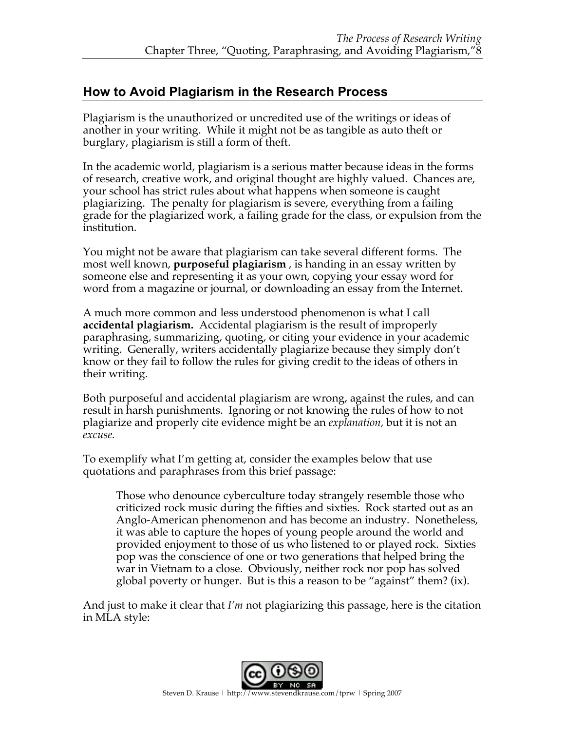## **How to Avoid Plagiarism in the Research Process**

Plagiarism is the unauthorized or uncredited use of the writings or ideas of another in your writing. While it might not be as tangible as auto theft or burglary, plagiarism is still a form of theft.

In the academic world, plagiarism is a serious matter because ideas in the forms of research, creative work, and original thought are highly valued. Chances are, your school has strict rules about what happens when someone is caught plagiarizing. The penalty for plagiarism is severe, everything from a failing grade for the plagiarized work, a failing grade for the class, or expulsion from the institution.

You might not be aware that plagiarism can take several different forms. The most well known, **purposeful plagiarism** , is handing in an essay written by someone else and representing it as your own, copying your essay word for word from a magazine or journal, or downloading an essay from the Internet.

A much more common and less understood phenomenon is what I call **accidental plagiarism.** Accidental plagiarism is the result of improperly paraphrasing, summarizing, quoting, or citing your evidence in your academic writing. Generally, writers accidentally plagiarize because they simply don't know or they fail to follow the rules for giving credit to the ideas of others in their writing.

Both purposeful and accidental plagiarism are wrong, against the rules, and can result in harsh punishments. Ignoring or not knowing the rules of how to not plagiarize and properly cite evidence might be an *explanation,* but it is not an *excuse.*

To exemplify what I'm getting at, consider the examples below that use quotations and paraphrases from this brief passage:

Those who denounce cyberculture today strangely resemble those who criticized rock music during the fifties and sixties. Rock started out as an Anglo-American phenomenon and has become an industry. Nonetheless, it was able to capture the hopes of young people around the world and provided enjoyment to those of us who listened to or played rock. Sixties pop was the conscience of one or two generations that helped bring the war in Vietnam to a close. Obviously, neither rock nor pop has solved global poverty or hunger. But is this a reason to be "against" them? (ix).

And just to make it clear that *I'm* not plagiarizing this passage, here is the citation in MLA style: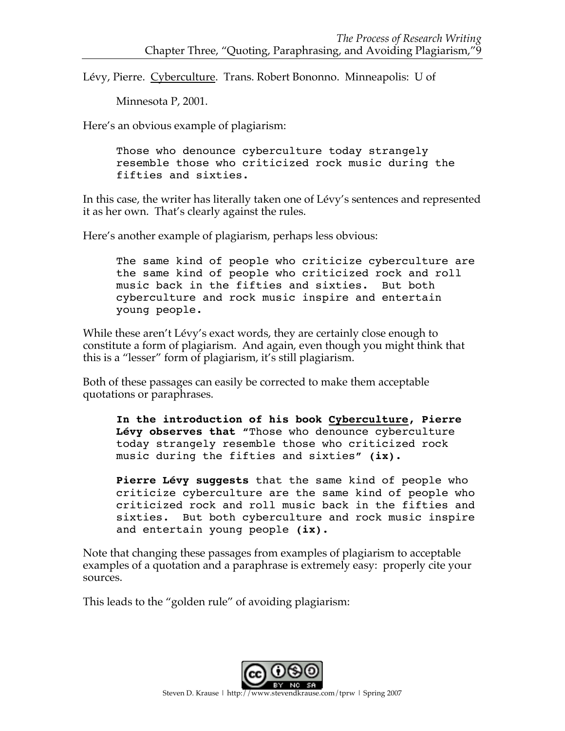Lévy, Pierre. Cyberculture. Trans. Robert Bononno. Minneapolis: U of

Minnesota P, 2001.

Here's an obvious example of plagiarism:

Those who denounce cyberculture today strangely resemble those who criticized rock music during the fifties and sixties.

In this case, the writer has literally taken one of Lévy's sentences and represented it as her own. That's clearly against the rules.

Here's another example of plagiarism, perhaps less obvious:

The same kind of people who criticize cyberculture are the same kind of people who criticized rock and roll music back in the fifties and sixties. But both cyberculture and rock music inspire and entertain young people.

While these aren't Lévy's exact words, they are certainly close enough to constitute a form of plagiarism. And again, even though you might think that this is a "lesser" form of plagiarism, it's still plagiarism.

Both of these passages can easily be corrected to make them acceptable quotations or paraphrases.

**In the introduction of his book Cyberculture, Pierre Lévy observes that "**Those who denounce cyberculture today strangely resemble those who criticized rock music during the fifties and sixties**" (ix).**

**Pierre Lévy suggests** that the same kind of people who criticize cyberculture are the same kind of people who criticized rock and roll music back in the fifties and sixties. But both cyberculture and rock music inspire and entertain young people **(ix).**

Note that changing these passages from examples of plagiarism to acceptable examples of a quotation and a paraphrase is extremely easy: properly cite your sources.

This leads to the "golden rule" of avoiding plagiarism: